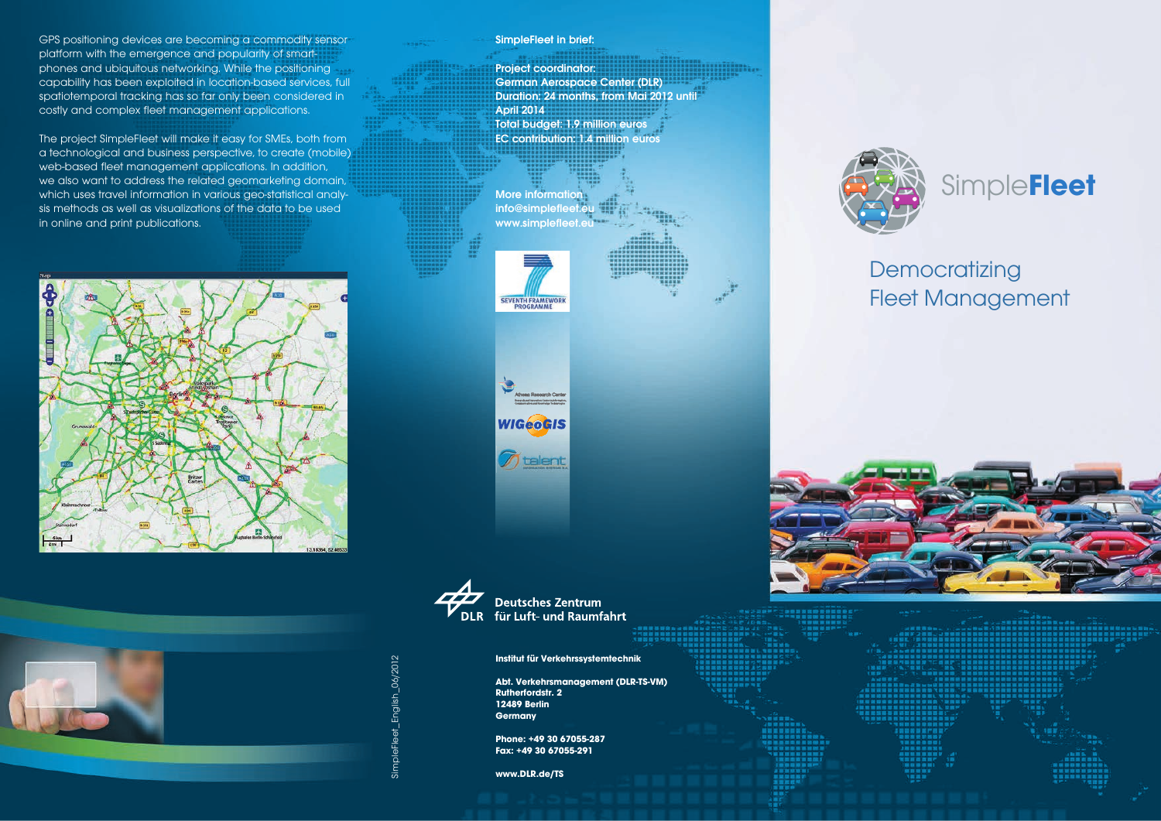GPS positioning devices are becoming a commodity sensor platform with the emergence and popularity of smartphones and ubiquitous networking. While the positioning capability has been exploited in location-based services, full spatiotemporal tracking has so far only been considered in costly and complex fleet management applications.

The project SimpleFleet will make it easy for SMEs, both from a technological and business perspective, to create (mobile) web-based fleet management applications. In addition, we also want to address the related geomarketing domain, which uses travel information in various geo-statistical analysis methods as well as visualizations of the data to be used in online and print publications.





SimpleFleet in brief:

Project coordinator: German Aerospace Center (DLR) Duration: 24 months, from Mai 2012 until April 2014 Total budget: 1.9 million euros EC contribution: 1.4 million euros





**Deutsches Zentrum** DLR für Luft- und Raumfahrt

**Institut für Verkehrssystemtechnik**

**Abt. Verkehrsmanagement (DLR-TS-VM) Rutherfordstr. 2 12489 Berlin Germany**

**Phone: +49 30 67055-287 Fax: +49 30 67055-291**

**www.DLR.de/TS**



# Simple**Fleet**

# **Democratizing** Fleet Management